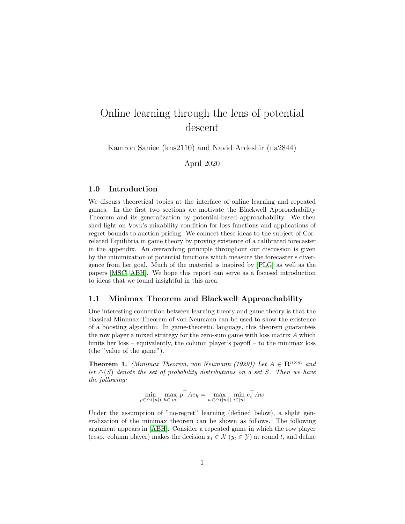# Online learning through the lens of potential descent

Kamron Saniee (kns2110) and Navid Ardeshir (na2844)

April 2020

## 1.0 Introduction

We discuss theoretical topics at the interface of online learning and repeated games. In the first two sections we motivate the Blackwell Approachability Theorem and its generalization by potential-based approachability. We then shed light on Vovk's mixability condition for loss functions and applications of regret bounds to auction pricing. We connect these ideas to the subject of Correlated Equilibria in game theory by proving existence of a calibrated forecaster in the appendix. An overarching principle throughout our discussion is given by the minimization of potential functions which measure the forecaster's divergence from her goal. Much of the material is inspired by [\[PLG\]](#page-10-0) as well as the papers [\[MSC,](#page-10-1) [ABH\]](#page-10-2). We hope this report can serve as a focused introduction to ideas that we found insightful in this area.

#### 1.1 Minimax Theorem and Blackwell Approachability

One interesting connection between learning theory and game theory is that the classical Minimax Theorem of von Neumann can be used to show the existence of a boosting algorithm. In game-theoretic language, this theorem guarantees the row player a mixed strategy for the zero-sum game with loss matrix A which limits her loss – equivalently, the column player's payoff – to the minimax loss (the "value of the game").

**Theorem 1.** (Minimax Theorem, von Neumann (1929)) Let  $A \in \mathbb{R}^{n \times m}$  and let  $\Delta(S)$  denote the set of probability distributions on a set S. Then we have the following:

$$
\min_{p \in \Delta([n])} \max_{h \in [m]} p^{\top} A e_h = \max_{w \in \Delta([m])} \min_{i \in [n]} e_i^{\top} A w
$$

Under the assumption of "no-regret" learning (defined below), a slight generalization of the minimax theorem can be shown as follows. The following argument appears in [\[ABH\]](#page-10-2). Consider a repeated game in which the row player (resp. column player) makes the decision  $x_t \in \mathcal{X}$   $(y_t \in \mathcal{Y})$  at round t, and define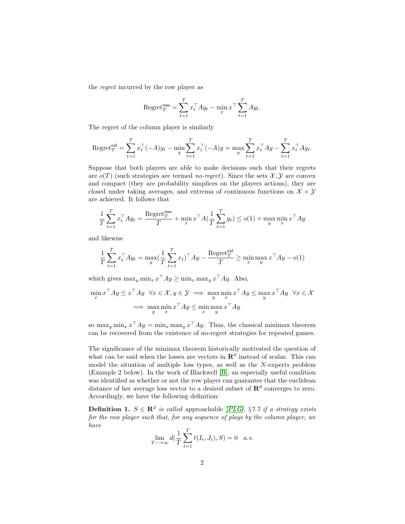the regret incurred by the row player as

$$
\operatorname{Regret}_{T}^{\text{row}} = \sum_{t=1}^{T} x_t^{\top} A y_t - \min_{x} x^{\top} \sum_{t=1}^{T} A y_t.
$$

The regret of the column player is similarly

Regret<sub>T</sub><sup>col</sup> = 
$$
\sum_{t=1}^{T} x_t^{\top} (-A)y_t - \min_{y} \sum_{t=1}^{T} x_t^{\top} (-A)y = \max_{y} \sum_{t=1}^{T} x_t^{\top} Ay - \sum_{t=1}^{T} x_t^{\top} Ay_t.
$$

Suppose that both players are able to make decisions such that their regrets are  $o(T)$  (such strategies are termed *no-regret*). Since the sets  $\mathcal{X}, \mathcal{Y}$  are convex and compact (they are probability simplices on the players actions), they are closed under taking averages, and extrema of continuous functions on  $\mathcal{X} \times \mathcal{Y}$ are achieved. It follows that

$$
\frac{1}{T} \sum_{t=1}^{T} x_t^{\top} A y_t = \frac{\text{Regret}_{T}^{\text{row}}}{T} + \min_{x} x^{\top} A (\frac{1}{T} \sum_{t=1}^{T} y_t) \le o(1) + \max_{y} \min_{x} x^{\top} A y
$$

and likewise

$$
\frac{1}{T} \sum_{t=1}^T x_t^\top A y_t = \max_y (\frac{1}{T} \sum_{t=1}^T x_t)^\top A y - \frac{\text{Regret}_T^{\text{col}}}{T} \ge \min_x \max_y x^\top A y - o(1)
$$

which gives  $\max_y \min_x x^\top A y \ge \min_x \max_y x^\top A y$ . Also,

$$
\min_{x} x^{\top} A y \leq x^{\top} A y \quad \forall x \in \mathcal{X}, y \in \mathcal{Y} \implies \max_{y} \min_{x} x^{\top} A y \leq \max_{y} x^{\top} A y \quad \forall x \in \mathcal{X}
$$

$$
\implies \max_{y} \min_{x} x^{\top} A y \leq \min_{x} \max_{y} x^{\top} A y
$$

so max<sub>y</sub> min<sub>x</sub>  $x^{\top}Ay = \min_x \max_y x^{\top}Ay$ . Thus, the classical minimax theorem can be recovered from the existence of no-regret strategies for repeated games.

The significance of the minimax theorem historically motivated the question of what can be said when the losses are vectors in  $\mathbb{R}^d$  instead of scalar. This can model the situation of multiple loss types, as well as the N-experts problem (Example 2 below). In the work of Blackwell [\[B\]](#page-10-3), an especially useful condition was identified as whether or not the row player can guarantee that the euclidean distance of her average loss vector to a desired subset of  $\mathbb{R}^d$  converges to zero. Accordingly, we have the following definition:

**Definition 1.**  $S \in \mathbb{R}^d$  is called approachable [\[PLG\]](#page-10-0), §7.7 if a strategy exists for the row player such that, for any sequence of plays by the column player, we have  $\overline{a}$ 

$$
\lim_{T \to \infty} d(\frac{1}{T} \sum_{t=1}^{T} \ell(I_t, J_t), S) = 0 \quad a.s.
$$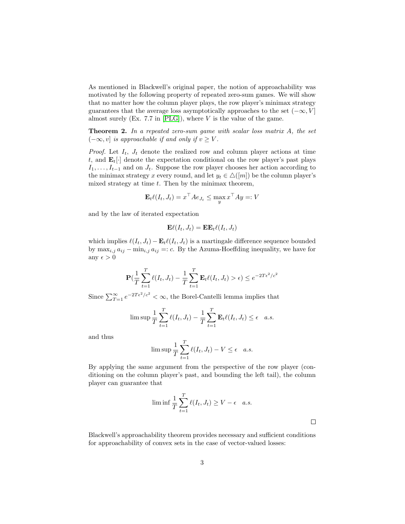As mentioned in Blackwell's original paper, the notion of approachability was motivated by the following property of repeated zero-sum games. We will show that no matter how the column player plays, the row player's minimax strategy guarantees that the average loss asymptotically approaches to the set  $(-\infty, V]$ almost surely  $(Ex. 7.7 \text{ in } [PLG])$  $(Ex. 7.7 \text{ in } [PLG])$  $(Ex. 7.7 \text{ in } [PLG])$ , where V is the value of the game.

Theorem 2. In a repeated zero-sum game with scalar loss matrix A, the set  $(-\infty, v]$  is approachable if and only if  $v > V$ .

*Proof.* Let  $I_t$ ,  $J_t$  denote the realized row and column player actions at time t, and  $\mathbf{E}_{t}[\cdot]$  denote the expectation conditional on the row player's past plays  $I_1, \ldots, I_{t-1}$  and on  $J_t$ . Suppose the row player chooses her action according to the minimax strategy x every round, and let  $y_t \in \Delta([m])$  be the column player's mixed strategy at time  $t$ . Then by the minimax theorem,

$$
\mathbf{E}_t \ell(I_t, J_t) = x^\top A e_{J_t} \le \max_y x^\top A y =: V
$$

and by the law of iterated expectation

$$
\mathbf{E}\ell(I_t,J_t) = \mathbf{E}\mathbf{E}_t\ell(I_t,J_t)
$$

which implies  $\ell(I_t, J_t) - \mathbf{E}_t \ell(I_t, J_t)$  is a martingale difference sequence bounded by  $\max_{i,j} a_{ij} - \min_{i,j} a_{ij} =: c$ . By the Azuma-Hoeffding inequality, we have for any $\epsilon > 0$ 

$$
\mathbf{P}(\frac{1}{T}\sum_{t=1}^T \ell(I_t, J_t) - \frac{1}{T}\sum_{t=1}^T \mathbf{E}_t \ell(I_t, J_t) > \epsilon) \le e^{-2T\epsilon^2/c^2}
$$

Since  $\sum_{T=1}^{\infty} e^{-2T\epsilon^2/c^2} < \infty$ , the Borel-Cantelli lemma implies that

$$
\limsup \frac{1}{T} \sum_{t=1}^T \ell(I_t, J_t) - \frac{1}{T} \sum_{t=1}^T \mathbf{E}_t \ell(I_t, J_t) \le \epsilon \quad a.s.
$$

and thus

$$
\limsup \frac{1}{T} \sum_{t=1}^{T} \ell(I_t, J_t) - V \le \epsilon \quad a.s.
$$

By applying the same argument from the perspective of the row player (conditioning on the column player's past, and bounding the left tail), the column player can guarantee that

$$
\liminf \frac{1}{T} \sum_{t=1}^{T} \ell(I_t, J_t) \ge V - \epsilon \quad a.s.
$$

Blackwell's approachability theorem provides necessary and sufficient conditions for approachability of convex sets in the case of vector-valued losses:

 $\Box$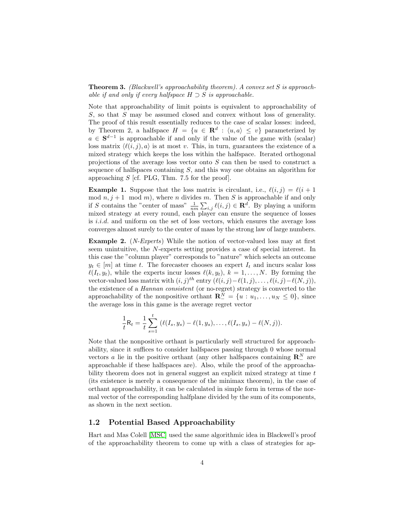**Theorem 3.** (Blackwell's approachability theorem). A convex set S is approachable if and only if every halfspace  $H \supset S$  is approachable.

Note that approachability of limit points is equivalent to approachability of S, so that S may be assumed closed and convex without loss of generality. The proof of this result essentially reduces to the case of scalar losses: indeed, by Theorem 2, a halfspace  $H = \{u \in \mathbf{R}^d : \langle u, a \rangle \leq v\}$  parameterized by  $a \in S^{d-1}$  is approachable if and only if the value of the game with (scalar) loss matrix  $\langle \ell(i, j), a \rangle$  is at most v. This, in turn, guarantees the existence of a mixed strategy which keeps the loss within the halfspace. Iterated orthogonal projections of the average loss vector onto S can then be used to construct a sequence of halfspaces containing S, and this way one obtains an algorithm for approaching  $S$  [cf. PLG, Thm. 7.5 for the proof].

**Example 1.** Suppose that the loss matrix is circulant, i.e.,  $\ell(i, j) = \ell(i + 1)$ mod  $n, j+1 \mod m$ , where n divides m. Then S is approachable if and only if S contains the "center of mass"  $\frac{1}{nm} \sum_{i,j} \ell(i,j) \in \mathbf{R}^d$ . By playing a uniform mixed strategy at every round, each player can ensure the sequence of losses is  $i.i.d.$  and uniform on the set of loss vectors, which ensures the average loss converges almost surely to the center of mass by the strong law of large numbers.

Example 2. (N-Experts) While the notion of vector-valued loss may at first seem unintuitive, the N-experts setting provides a case of special interest. In this case the "column player" corresponds to "nature" which selects an outcome  $y_t \in [m]$  at time t. The forecaster chooses an expert  $I_t$  and incurs scalar loss  $\ell(I_t, y_t)$ , while the experts incur losses  $\ell(k, y_t), k = 1, ..., N$ . By forming the vector-valued loss matrix with  $(i, j)$ <sup>th</sup> entry  $(\ell(i, j) - \ell(1, j), \ldots, \ell(i, j) - \ell(N, j)),$ the existence of a Hannan consistent (or no-regret) strategy is converted to the approachability of the nonpositive orthant  $\mathbf{R}_{-}^{N} = \{u : u_1, \ldots, u_N \leq 0\}$ , since the average loss in this game is the average regret vector

$$
\frac{1}{t}R_t = \frac{1}{t}\sum_{s=1}^t (\ell(I_s, y_s) - \ell(1, y_s), \dots, \ell(I_s, y_s) - \ell(N, j)).
$$

Note that the nonpositive orthant is particularly well structured for approachability, since it suffices to consider halfspaces passing through 0 whose normal vectors a lie in the positive orthant (any other halfspaces containing  $\mathbb{R}^N_-$  are approachable if these halfspaces are). Also, while the proof of the approachability theorem does not in general suggest an explicit mixed strategy at time t (its existence is merely a consequence of the minimax theorem), in the case of orthant approachability, it can be calculated in simple form in terms of the normal vector of the corresponding halfplane divided by the sum of its components, as shown in the next section.

### 1.2 Potential Based Approachability

Hart and Mas Colell [\[MSC\]](#page-10-1) used the same algorithmic idea in Blackwell's proof of the approachability theorem to come up with a class of strategies for ap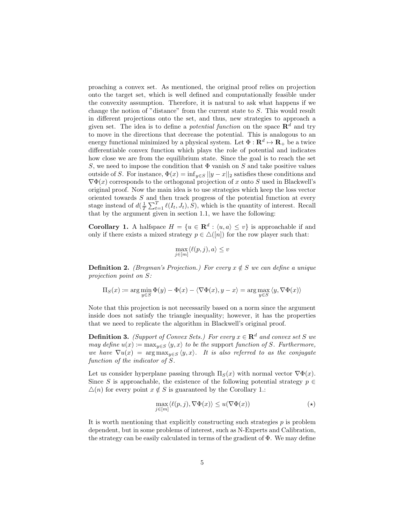proaching a convex set. As mentioned, the original proof relies on projection onto the target set, which is well defined and computationally feasible under the convexity assumption. Therefore, it is natural to ask what happens if we change the notion of "distance" from the current state to S. This would result in different projections onto the set, and thus, new strategies to approach a given set. The idea is to define a *potential function* on the space  $\mathbb{R}^d$  and try to move in the directions that decrease the potential. This is analogous to an energy functional minimized by a physical system. Let  $\Phi : \mathbf{R}^d \mapsto \mathbf{R}_+$  be a twice differentiable convex function which plays the role of potential and indicates how close we are from the equilibrium state. Since the goal is to reach the set S, we need to impose the condition that  $\Phi$  vanish on S and take positive values outside of S. For instance,  $\Phi(x) = \inf_{y \in S} ||y - x||_2$  satisfies these conditions and  $\nabla \Phi(x)$  corresponds to the orthogonal projection of x onto S used in Blackwell's original proof. Now the main idea is to use strategies which keep the loss vector oriented towards S and then track progress of the potential function at every stage instead of  $d(\frac{1}{T} \sum_{t=1}^T \ell(I_t, J_t), S)$ , which is the quantity of interest. Recall that by the argument given in section 1.1, we have the following:

**Corollary 1.** A halfspace  $H = \{u \in \mathbb{R}^d : \langle u, a \rangle \leq v\}$  is approachable if and only if there exists a mixed strategy  $p \in \Delta([n])$  for the row player such that:

$$
\max_{j\in [m]} \langle \ell(p,j),a\rangle \leq v
$$

**Definition 2.** (Bregman's Projection.) For every  $x \notin S$  we can define a unique projection point on S:

$$
\Pi_S(x) \coloneqq \arg\min_{y\in S} \Phi(y) - \Phi(x) - \langle \nabla \Phi(x), y - x \rangle = \arg\max_{y\in S} \langle y, \nabla \Phi(x) \rangle
$$

Note that this projection is not necessarily based on a norm since the argument inside does not satisfy the triangle inequality; however, it has the properties that we need to replicate the algorithm in Blackwell's original proof.

**Definition 3.** (Support of Convex Sets.) For every  $x \in \mathbb{R}^d$  and convex set S we may define  $u(x) := \max_{y \in S} \langle y, x \rangle$  to be the support function of S. Furthermore, we have  $\nabla u(x) = \arg \max_{y \in S} \langle y, x \rangle$ . It is also referred to as the conjugate function of the indicator of S.

Let us consider hyperplane passing through  $\Pi_S(x)$  with normal vector  $\nabla \Phi(x)$ . Since S is approachable, the existence of the following potential strategy  $p \in$  $\Delta(n)$  for every point  $x \notin S$  is guaranteed by the Corollary 1.:

<span id="page-4-0"></span>
$$
\max_{j \in [m]} \langle \ell(p, j), \nabla \Phi(x) \rangle \le u(\nabla \Phi(x)) \tag{\star}
$$

It is worth mentioning that explicitly constructing such strategies  $p$  is problem dependent, but in some problems of interest, such as N-Experts and Calibration, the strategy can be easily calculated in terms of the gradient of Φ. We may define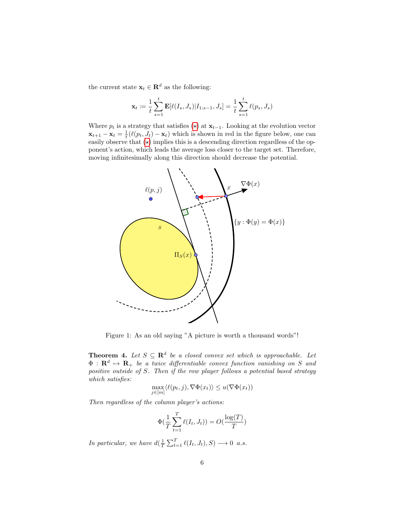the current state  $\mathbf{x}_t \in \mathbf{R}^d$  as the following:

$$
\mathbf{x}_t := \frac{1}{t} \sum_{s=1}^t \mathbf{E}[\ell(I_s, J_s)|I_{1:s-1}, J_s] = \frac{1}{t} \sum_{s=1}^t \ell(p_s, J_s)
$$

Where  $p_t$  is a strategy that satisfies  $(\star)$  at  $\mathbf{x}_{t-1}$ . Looking at the evolution vector  $\mathbf{x}_{t+1} - \mathbf{x}_t = \frac{1}{t}(\ell(p_t, J_t) - \mathbf{x}_t)$  which is shown in red in the figure below, one can easily observe that  $(\star)$  implies this is a descending direction regardless of the opponent's action, which leads the average loss closer to the target set. Therefore, moving infinitesimally along this direction should decrease the potential.



Figure 1: As an old saying "A picture is worth a thousand words"!

**Theorem 4.** Let  $S \subseteq \mathbb{R}^d$  be a closed convex set which is approachable. Let  $\Phi\,:\,\mathbf{R}^d\,\mapsto\,\mathbf{R}_+\,$  be a twice differentiable convex function vanishing on S and positive outside of S. Then if the row player follows a potential based strategy which satisfies:

$$
\max_{j \in [m]} \langle \ell(p_t, j), \nabla \Phi(x_t) \rangle \le u(\nabla \Phi(x_t))
$$

Then regardless of the column player's actions:

$$
\Phi(\frac{1}{T}\sum_{t=1}^T \ell(I_t, J_t)) = O(\frac{\log(T)}{T})
$$

In particular, we have  $d(\frac{1}{T} \sum_{t=1}^{T} \ell(I_t, J_t), S) \longrightarrow 0$  a.s.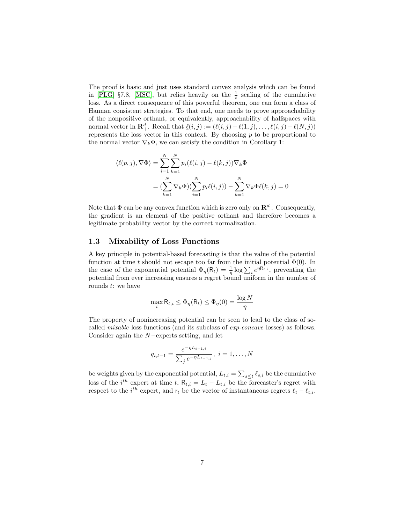The proof is basic and just uses standard convex analysis which can be found in [\[PLG\]](#page-10-0) §7.8, [\[MSC\]](#page-10-1), but relies heavily on the  $\frac{1}{t}$  scaling of the cumulative loss. As a direct consequence of this powerful theorem, one can form a class of Hannan consistent strategies. To that end, one needs to prove approachability of the nonpositive orthant, or equivalently, approachability of halfspaces with normal vector in  $\mathbf{R}_+^d$ . Recall that  $\underline{\ell}(i, j) := (\ell(i, j) - \ell(1, j), \dots, \ell(i, j) - \ell(N, j))$ represents the loss vector in this context. By choosing  $p$  to be proportional to the normal vector  $\nabla_k \Phi$ , we can satisfy the condition in Corollary 1:

$$
\langle \underline{\ell}(p,j), \nabla \Phi \rangle = \sum_{i=1}^{N} \sum_{k=1}^{N} p_i(\ell(i,j) - \ell(k,j)) \nabla_k \Phi
$$

$$
= \left( \sum_{k=1}^{N} \nabla_k \Phi \right) \left( \sum_{i=1}^{N} p_i(\ell(i,j)) - \sum_{k=1}^{N} \nabla_k \Phi(\ell(k,j)) \right) = 0
$$

Note that  $\Phi$  can be any convex function which is zero only on  $\mathbb{R}^d_-$ . Consequently, the gradient is an element of the positive orthant and therefore becomes a legitimate probability vector by the correct normalization.

#### 1.3 Mixability of Loss Functions

A key principle in potential-based forecasting is that the value of the potential function at time t should not escape too far from the initial potential  $\Phi(0)$ . In the case of the exponential potential  $\Phi_{\eta}(\mathsf{R}_t) = \frac{1}{\eta} \log \sum_i e^{\eta \mathsf{R}_{t,i}}$ , preventing the potential from ever increasing ensures a regret bound uniform in the number of rounds  $t$ : we have

$$
\max_{i} \mathsf{R}_{t,i} \le \Phi_{\eta}(\mathsf{R}_{t}) \le \Phi_{\eta}(0) = \frac{\log N}{\eta}
$$

The property of nonincreasing potential can be seen to lead to the class of socalled mixable loss functions (and its subclass of exp-concave losses) as follows. Consider again the N−experts setting, and let

$$
q_{i,t-1} = \frac{e^{-\eta L_{t-1,i}}}{\sum_{j} e^{-\eta L_{t-1,j}}}, \ i = 1, \dots, N
$$

be weights given by the exponential potential,  $L_{t,i} = \sum_{s \leq t} \ell_{s,i}$  be the cumulative loss of the i<sup>th</sup> expert at time t,  $R_{t,i} = L_t - L_{t,i}$  be the forecaster's regret with respect to the  $i^{th}$  expert, and  $r_t$  be the vector of instantaneous regrets  $\ell_t - \ell_{t,i}$ .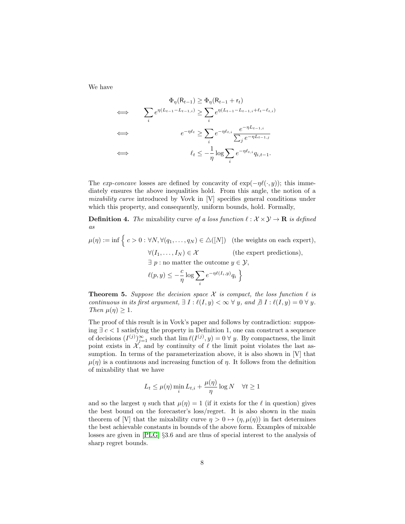We have

$$
\Phi_{\eta}(R_{t-1}) \geq \Phi_{\eta}(R_{t-1} + r_{t})
$$
\n
$$
\iff \sum_{i} e^{\eta(L_{t-1} - L_{t-1,i})} \geq \sum_{i} e^{\eta(L_{t-1} - L_{t-1,i} + \ell_{t} - \ell_{t,i})}
$$
\n
$$
\iff e^{-\eta \ell_{t}} \geq \sum_{i} e^{-\eta \ell_{t,i}} \frac{e^{-\eta L_{t-1,i}}}{\sum_{j} e^{-\eta L_{t-1,j}}}
$$
\n
$$
\iff \qquad \ell_{t} \leq -\frac{1}{\eta} \log \sum_{i} e^{-\eta \ell_{t,i}} q_{i,t-1}.
$$

The exp-concave losses are defined by concavity of  $\exp(-n\ell(\cdot, y))$ ; this immediately ensures the above inequalities hold. From this angle, the notion of a mixability curve introduced by Vovk in [V] specifies general conditions under which this property, and consequently, uniform bounds, hold. Formally,

**Definition 4.** The mixability curve of a loss function  $\ell : \mathcal{X} \times \mathcal{Y} \to \mathbf{R}$  is defined as

$$
\mu(\eta) := \inf \Big\{ c > 0 : \forall N, \forall (q_1, \dots, q_N) \in \Delta([N]) \text{ (the weights on each expert)},
$$

$$
\forall (I_1, \dots, I_N) \in \mathcal{X} \text{ (the expert predictions)},
$$

$$
\exists p : \text{no matter the outcome } y \in \mathcal{Y},
$$

$$
\ell(p, y) \le -\frac{c}{\eta} \log \sum_i e^{-\eta \ell(I_i, y)} q_i \Big\}
$$

**Theorem 5.** Suppose the decision space  $\mathcal X$  is compact, the loss function  $\ell$  is continuous in its first argument,  $\exists I : \ell(I, y) < \infty \ \forall y$ , and  $\exists I : \ell(I, y) = 0 \ \forall y$ . Then  $\mu(\eta) \geq 1$ .

The proof of this result is in Vovk's paper and follows by contradiction: supposing ∃ c < 1 satisfying the property in Definition 1, one can construct a sequence of decisions  $(I^{(j)})_{j=1}^{\infty}$  such that  $\lim \ell(I^{(j)}, y) = 0 \forall y$ . By compactness, the limit point exists in  $\mathcal{X}$ , and by continuity of  $\ell$  the limit point violates the last assumption. In terms of the parameterization above, it is also shown in [V] that  $\mu(\eta)$  is a continuous and increasing function of  $\eta$ . It follows from the definition of mixability that we have

$$
L_t \le \mu(\eta) \min_i L_{t,i} + \frac{\mu(\eta)}{\eta} \log N \quad \forall t \ge 1
$$

and so the largest  $\eta$  such that  $\mu(\eta) = 1$  (if it exists for the  $\ell$  in question) gives the best bound on the forecaster's loss/regret. It is also shown in the main theorem of [V] that the mixability curve  $\eta > 0 \mapsto (\eta, \mu(\eta))$  in fact determines the best achievable constants in bounds of the above form. Examples of mixable losses are given in [\[PLG\]](#page-10-0) §3.6 and are thus of special interest to the analysis of sharp regret bounds.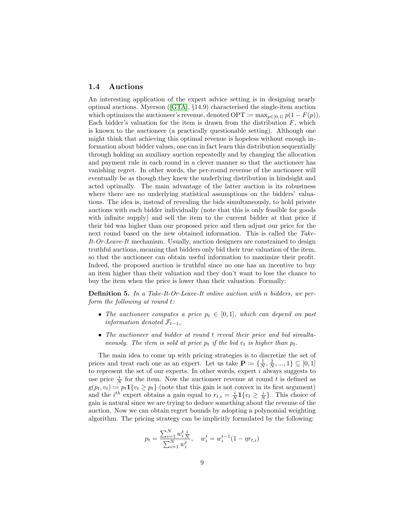#### 1.4 Auctions

An interesting application of the expert advice setting is in designing nearly optimal auctions. Myerson ([\[GTA\]](#page-10-4), §14.9) characterised the single-item auction which optimizes the auctioneer's revenue, denoted OPT :=  $\max_{p \in [0,1]} p(1 - F(p))$ . Each bidder's valuation for the item is drawn from the distribution  $F$ , which is known to the auctioneer (a practically questionable setting). Although one might think that achieving this optimal revenue is hopeless without enough information about bidder values, one can in fact learn this distribution sequentially through holding an auxiliary auction repeatedly and by changing the allocation and payment rule in each round in a clever manner so that the auctioneer has vanishing regret. In other words, the per-round revenue of the auctioneer will eventually be as though they knew the underlying distribution in hindsight and acted optimally. The main advantage of the latter auction is its robustness where there are no underlying statistical assumptions on the bidders' valuations. The idea is, instead of revealing the bids simultaneously, to hold private auctions with each bidder individually (note that this is only feasible for goods with infinite supply) and sell the item to the current bidder at that price if their bid was higher than our proposed price and then adjust our price for the next round based on the new obtained information. This is called the Take- $It-Or-Leave-It$  mechanism. Usually, auction designers are constrained to design truthful auctions, meaning that bidders only bid their true valuation of the item, so that the auctioneer can obtain useful information to maximize their profit. Indeed, the proposed auction is truthful since no one has an incentive to buy an item higher than their valuation and they don't want to lose the chance to buy the item when the price is lower than their valuation. Formally:

**Definition 5.** In a Take-It-Or-Leave-It online auction with n bidders, we perform the following at round t:

- The auctioneer computes a price  $p_t \in [0,1]$ , which can depend on past information denoted  $\mathcal{F}_{t-1}$ ,
- The auctioneer and bidder at round t reveal their price and bid simultaneously. The item is sold at price  $p_t$  if the bid  $v_t$  is higher than  $p_t$ .

The main idea to come up with pricing strategies is to discretize the set of prices and treat each one as an expert. Let us take  $\mathbf{P} := \{\frac{1}{N}, \frac{2}{N}, ..., 1\} \subseteq [0, 1]$ to represent the set of our experts. In other words, expert  $i$  always suggests to use price  $\frac{i}{N}$  for the item. Now the auctioneer revenue at round t is defined as  $g(p_t, v_t) \coloneqq p_t \mathbf{1}\{v_t \geq p_t\}$  (note that this gain is not convex in its first argument) and the *i*<sup>th</sup> expert obtains a gain equal to  $r_{t,i} = \frac{i}{N} \mathbf{1} \{v_t \geq \frac{i}{N}\}\.$  This choice of gain is natural since we are trying to deduce something about the revenue of the auction. Now we can obtain regret bounds by adopting a polynomial weighting algorithm. The pricing strategy can be implicitly formulated by the following:

$$
p_t = \frac{\sum_{i=1}^{N} w_i^t \frac{i}{N}}{\sum_{i=1}^{N} w_i^t}, \quad w_i^t = w_i^{t-1} (1 - \eta r_{t,i})
$$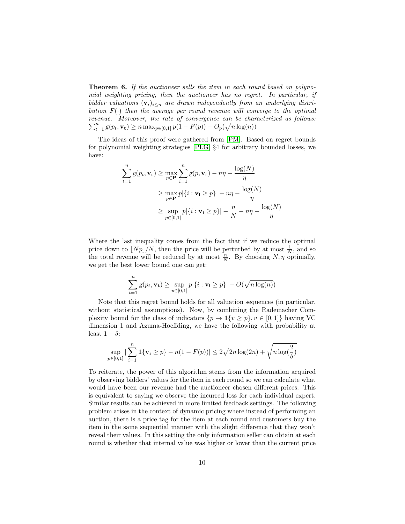**Theorem 6.** If the auctioneer sells the item in each round based on polynomial weighting pricing, then the auctioneer has no regret. In particular, if bidder valuations  $(\mathbf{v}_i)_{i\leq n}$  are drawn independently from an underlying distribution  $F(\cdot)$  then the average per round revenue will converge to the optimal revenue. Moreover, the rate of convergence can be characterized as follows:  $\sum_{t=1}^{n} g(p_t, \mathbf{v_t}) \geq n \max_{p \in [0,1]} p(1 - F(p)) - O_p(\sqrt{n \log(n)})$ 

The ideas of this proof were gathered from [\[PM\]](#page-10-5). Based on regret bounds for polynomial weighting strategies [\[PLG\]](#page-10-0) §4 for arbitrary bounded losses, we have:

$$
\sum_{t=1}^{n} g(p_t, \mathbf{v_t}) \ge \max_{p \in \mathbf{P}} \sum_{i=1}^{n} g(p, \mathbf{v_t}) - n\eta - \frac{\log(N)}{\eta}
$$

$$
\ge \max_{p \in \mathbf{P}} p|\{i : \mathbf{v_i} \ge p\}| - n\eta - \frac{\log(N)}{\eta}
$$

$$
\ge \sup_{p \in [0,1]} p|\{i : \mathbf{v_i} \ge p\}| - \frac{n}{N} - n\eta - \frac{\log(N)}{\eta}
$$

Where the last inequality comes from the fact that if we reduce the optimal price down to  $\lfloor Np \rfloor/N$ , then the price will be perturbed by at most  $\frac{1}{N}$ , and so the total revenue will be reduced by at most  $\frac{n}{N}$ . By choosing  $N, \eta$  optimally, we get the best lower bound one can get:

$$
\sum_{t=1}^{n} g(p_t, \mathbf{v_t}) \ge \sup_{p \in [0,1]} p | \{ i : \mathbf{v_i} \ge p \} | - O(\sqrt{n \log(n)})
$$

Note that this regret bound holds for all valuation sequences (in particular, without statistical assumptions). Now, by combining the Rademacher Complexity bound for the class of indicators  $\{p \mapsto \mathbf{1}\{v \geq p\}, v \in [0,1]\}\$  having VC dimension 1 and Azuma-Hoeffding, we have the following with probability at least  $1 - \delta$ :

$$
\sup_{p \in [0,1]} |\sum_{i=1}^n \mathbf{1}\{\mathbf{v_i} \ge p\} - n(1 - F(p))| \le 2\sqrt{2n \log(2n)} + \sqrt{n \log(\frac{2}{\delta})}
$$

To reiterate, the power of this algorithm stems from the information acquired by observing bidders' values for the item in each round so we can calculate what would have been our revenue had the auctioneer chosen different prices. This is equivalent to saying we observe the incurred loss for each individual expert. Similar results can be achieved in more limited feedback settings. The following problem arises in the context of dynamic pricing where instead of performing an auction, there is a price tag for the item at each round and customers buy the item in the same sequential manner with the slight difference that they won't reveal their values. In this setting the only information seller can obtain at each round is whether that internal value was higher or lower than the current price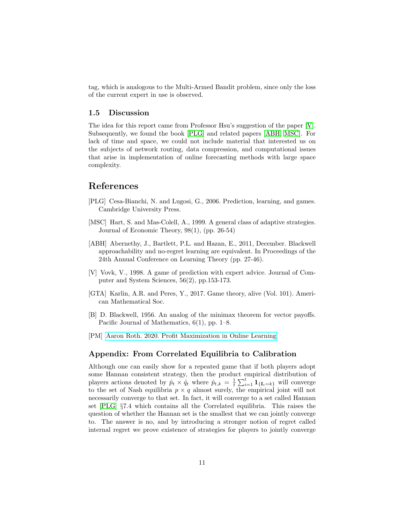tag, which is analogous to the Multi-Armed Bandit problem, since only the loss of the current expert in use is observed.

#### 1.5 Discussion

The idea for this report came from Professor Hsu's suggestion of the paper [\[V\]](#page-10-6). Subsequently, we found the book [\[PLG\]](#page-10-0) and related papers [\[ABH,](#page-10-2) [MSC\]](#page-10-1). For lack of time and space, we could not include material that interested us on the subjects of network routing, data compression, and computational issues that arise in implementation of online forecasting methods with large space complexity.

# References

- <span id="page-10-0"></span>[PLG] Cesa-Bianchi, N. and Lugosi, G., 2006. Prediction, learning, and games. Cambridge University Press.
- <span id="page-10-1"></span>[MSC] Hart, S. and Mas-Colell, A., 1999. A general class of adaptive strategies. Journal of Economic Theory, 98(1), (pp. 26-54)
- <span id="page-10-2"></span>[ABH] Abernethy, J., Bartlett, P.L. and Hazan, E., 2011, December. Blackwell approachability and no-regret learning are equivalent. In Proceedings of the 24th Annual Conference on Learning Theory (pp. 27-46).
- <span id="page-10-6"></span>[V] Vovk, V., 1998. A game of prediction with expert advice. Journal of Computer and System Sciences, 56(2), pp.153-173.
- <span id="page-10-4"></span>[GTA] Karlin, A.R. and Peres, Y., 2017. Game theory, alive (Vol. 101). American Mathematical Soc.
- <span id="page-10-3"></span>[B] D. Blackwell, 1956. An analog of the minimax theorem for vector payoffs. Pacific Journal of Mathematics, 6(1), pp. 1–8.
- <span id="page-10-5"></span>[PM] [Aaron Roth. 2020. Profit Maximization in Online Learning](https://www.cis.upenn.edu/~aaroth/courses/slides/agt17/lect19.pdf)

#### Appendix: From Correlated Equilibria to Calibration

Although one can easily show for a repeated game that if both players adopt some Hannan consistent strategy, then the product empirical distribution of players actions denoted by  $\hat{p}_t \times \hat{q}_t$  where  $\hat{p}_{t,k} = \frac{1}{t} \sum_{i=1}^t \mathbf{1}_{\{\mathbf{I}_t = k\}}$  will converge to the set of Nash equilibria  $p \times q$  almost surely, the empirical joint will not necessarily converge to that set. In fact, it will converge to a set called Hannan set [\[PLG\]](#page-10-0) §7.4 which contains all the Correlated equilibria. This raises the question of whether the Hannan set is the smallest that we can jointly converge to. The answer is no, and by introducing a stronger notion of regret called internal regret we prove existence of strategies for players to jointly converge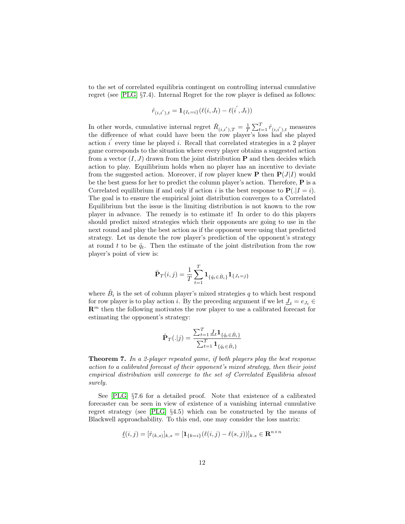to the set of correlated equilibria contingent on controlling internal cumulative regret (see [\[PLG\]](#page-10-0) §7.4). Internal Regret for the row player is defined as follows:

$$
\hat{r}_{(i,i'),t} = \mathbf{1}_{\{I_t=i\}} (\ell(i, J_t) - \ell(i', J_t))
$$

In other words, cumulative internal regret  $\hat{R}_{(i,i'),T} = \frac{1}{T} \sum_{t=1}^{T} \hat{r}_{(i,i'),t}$  measures the difference of what could have been the row player's loss had she played action  $i'$  every time he played i. Recall that correlated strategies in a 2 player game corresponds to the situation where every player obtains a suggested action from a vector  $(I, J)$  drawn from the joint distribution **P** and then decides which action to play. Equilibrium holds when no player has an incentive to deviate from the suggested action. Moreover, if row player knew **P** then  $P(J|I)$  would be the best guess for her to predict the column player's action. Therefore, P is a Correlated equilibrium if and only if action i is the best response to  ${\bf P}(.|I = i)$ . The goal is to ensure the empirical joint distribution converges to a Correlated Equilibrium but the issue is the limiting distribution is not known to the row player in advance. The remedy is to estimate it! In order to do this players should predict mixed strategies which their opponents are going to use in the next round and play the best action as if the opponent were using that predicted strategy. Let us denote the row player's prediction of the opponent's strategy at round t to be  $\hat{q}_t$ . Then the estimate of the joint distribution from the row player's point of view is:

$$
\hat{\mathbf{P}}_T(i,j) = \frac{1}{T} \sum_{t=1}^T \mathbf{1}_{\{\hat{q}_t \in \hat{B}_i\}} \mathbf{1}_{\{J_t = j\}}
$$

where  $\hat{B}_i$  is the set of column player's mixed strategies q to which best respond for row player is to play action *i*. By the preceding argument if we let  $J_t = e_{J_t} \in$  $\mathbb{R}^m$  then the following motivates the row player to use a calibrated forecast for estimating the opponent's strategy:

$$
\hat{\mathbf{P}}_T(.|j) = \frac{\sum_{t=1}^T \underline{J}_t \mathbf{1}_{\{\hat{q}_t \in \hat{B}_i\}}}{\sum_{t=1}^T \mathbf{1}_{\{\hat{q}_t \in \hat{B}_i\}}}
$$

Theorem 7. In a 2-player repeated game, if both players play the best response action to a calibrated forecast of their opponent's mixed strategy, then their joint empirical distribution will converge to the set of Correlated Equilibria almost surely.

See [\[PLG\]](#page-10-0) §7.6 for a detailed proof. Note that existence of a calibrated forecaster can be seen in view of existence of a vanishing internal cumulative regret strategy (see [\[PLG\]](#page-10-0) §4.5) which can be constructed by the means of Blackwell approachability. To this end, one may consider the loss matrix:

$$
\underline{\ell}(i,j) = [\hat{r}_{(k,s)}]_{k,s} = [\mathbf{1}_{\{k=i\}}(\ell(i,j) - \ell(s,j))]_{k,s} \in \mathbf{R}^{n \times n}
$$